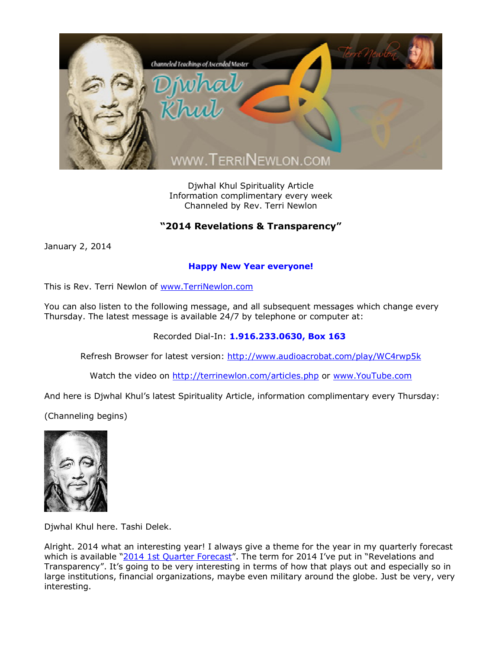

Djwhal Khul Spirituality Article Information complimentary every week Channeled by Rev. Terri Newlon

## **"2014 Revelations & Transparency"**

January 2, 2014

## **Happy New Year everyone!**

This is Rev. Terri Newlon of [www.TerriNewlon.com](http://www.terrinewlon.com/)

You can also listen to the following message, and all subsequent messages which change every Thursday. The latest message is available 24/7 by telephone or computer at:

Recorded Dial-In: **1.916.233.0630, Box 163**

Refresh Browser for latest version: <http://www.audioacrobat.com/play/WC4rwp5k>

Watch the video on <http://terrinewlon.com/articles.php> or [www.YouTube.com](http://www.youtube.com/)

And here is Djwhal Khul's latest Spirituality Article, information complimentary every Thursday:

(Channeling begins)



Djwhal Khul here. Tashi Delek.

Alright. 2014 what an interesting year! I always give a theme for the year in my quarterly forecast which is available "2014 1st [Quarter Forecast](http://www.terrinewlon.com/audio_downloads.php)". The term for 2014 I've put in "Revelations and Transparency". It's going to be very interesting in terms of how that plays out and especially so in large institutions, financial organizations, maybe even military around the globe. Just be very, very interesting.